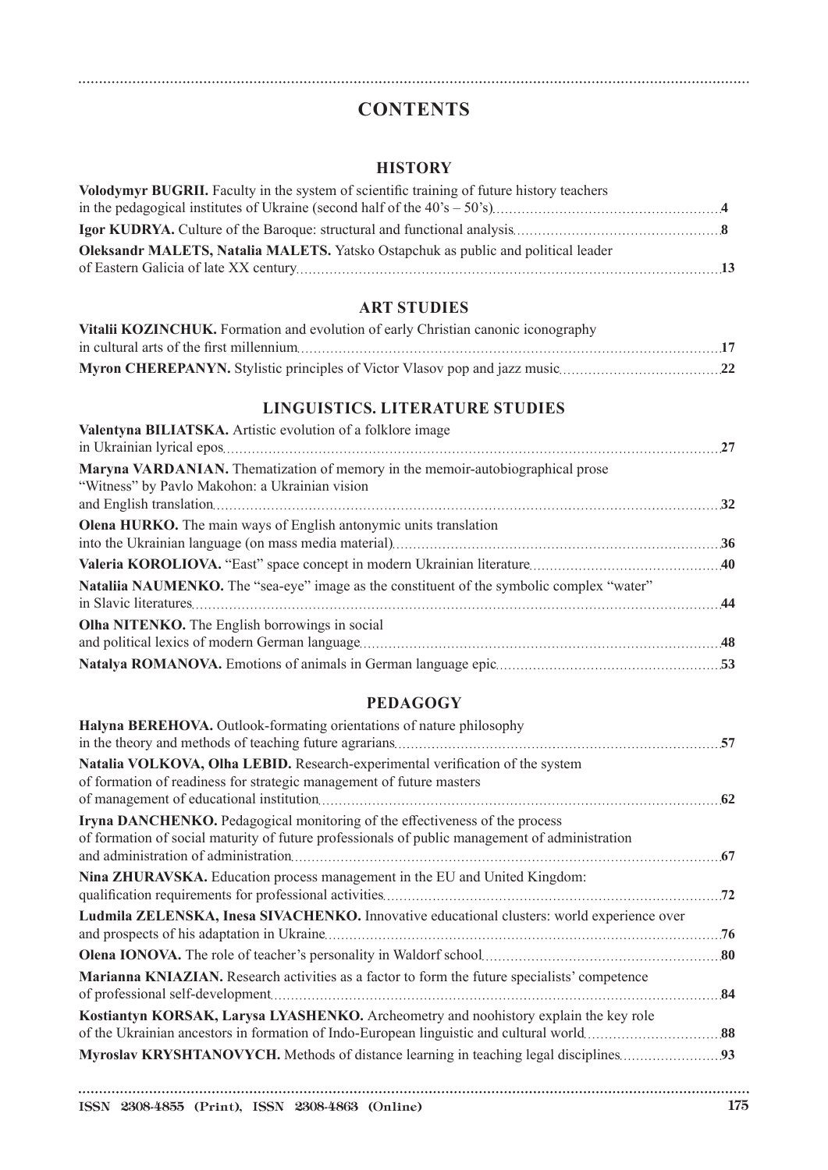# **CONTENTS**

## **HISTORY**

| Volodymyr BUGRII. Faculty in the system of scientific training of future history teachers |  |
|-------------------------------------------------------------------------------------------|--|
|                                                                                           |  |
|                                                                                           |  |
| <b>Oleksandr MALETS, Natalia MALETS.</b> Yatsko Ostapchuk as public and political leader  |  |
|                                                                                           |  |

#### **ART STUDIES**

| Vitalii KOZINCHUK. Formation and evolution of early Christian canonic iconography |  |
|-----------------------------------------------------------------------------------|--|
|                                                                                   |  |
|                                                                                   |  |

# **LINGUISTICS. LITERATURE STUDIES**

| Valentyna BILIATSKA. Artistic evolution of a folklore image                                                                       |  |
|-----------------------------------------------------------------------------------------------------------------------------------|--|
| Maryna VARDANIAN. The matization of memory in the memoir-autobiographical prose<br>"Witness" by Pavlo Makohon: a Ukrainian vision |  |
| <b>Olena HURKO.</b> The main ways of English antonymic units translation                                                          |  |
|                                                                                                                                   |  |
| Nataliia NAUMENKO. The "sea-eye" image as the constituent of the symbolic complex "water"                                         |  |
| Olha NITENKO. The English borrowings in social                                                                                    |  |
|                                                                                                                                   |  |
|                                                                                                                                   |  |

## **PEDAGOGY**

| Halyna BEREHOVA. Outlook-formating orientations of nature philosophy                                                                                                          |     |
|-------------------------------------------------------------------------------------------------------------------------------------------------------------------------------|-----|
|                                                                                                                                                                               |     |
| Natalia VOLKOVA, Olha LEBID. Research-experimental verification of the system<br>of formation of readiness for strategic management of future masters                         |     |
| Iryna DANCHENKO. Pedagogical monitoring of the effectiveness of the process<br>of formation of social maturity of future professionals of public management of administration |     |
| Nina ZHURAVSKA. Education process management in the EU and United Kingdom:                                                                                                    |     |
| Ludmila ZELENSKA, Inesa SIVACHENKO. Innovative educational clusters: world experience over                                                                                    | .76 |
|                                                                                                                                                                               |     |
| Marianna KNIAZIAN. Research activities as a factor to form the future specialists' competence                                                                                 |     |
| Kostiantyn KORSAK, Larysa LYASHENKO. Archeometry and noohistory explain the key role                                                                                          |     |
|                                                                                                                                                                               |     |